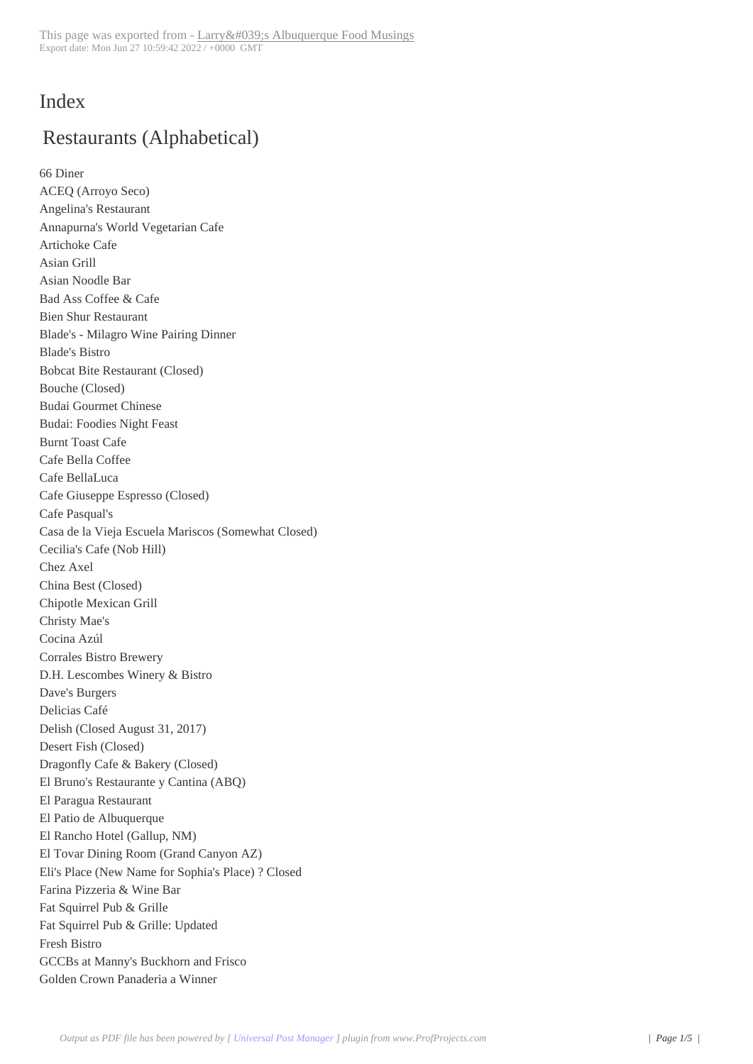## Index

# Restaurants (Alphabetical)

66 Diner ACEQ (Arroyo Seco) Angelina's Restaurant Annapurna's World Vegetarian Cafe Artichoke Cafe Asian Grill Asian Noodle Bar Bad Ass Coffee & Cafe Bien Shur Restaurant Blade's - Milagro Wine Pairing Dinner Blade's Bistro Bobcat Bite Restaurant (Closed) Bouche (Closed) Budai Gourmet Chinese Budai: Foodies Night Feast Burnt Toast Cafe Cafe Bella Coffee Cafe BellaLuca Cafe Giuseppe Espresso (Closed) Cafe Pasqual's Casa de la Vieja Escuela Mariscos (Somewhat Closed) Cecilia's Cafe (Nob Hill) Chez Axel China Best (Closed) Chipotle Mexican Grill Christy Mae's Cocina Azúl Corrales Bistro Brewery D.H. Lescombes Winery & Bistro Dave's Burgers Delicias Café Delish (Closed August 31, 2017) Desert Fish (Closed) Dragonfly Cafe & Bakery (Closed) El Bruno's Restaurante y Cantina (ABQ) El Paragua Restaurant El Patio de Albuquerque El Rancho Hotel (Gallup, NM) El Tovar Dining Room (Grand Canyon AZ) Eli's Place (New Name for Sophia's Place) ? Closed Farina Pizzeria & Wine Bar Fat Squirrel Pub & Grille Fat Squirrel Pub & Grille: Updated Fresh Bistro GCCBs at Manny's Buckhorn and Frisco Golden Crown Panaderia a Winner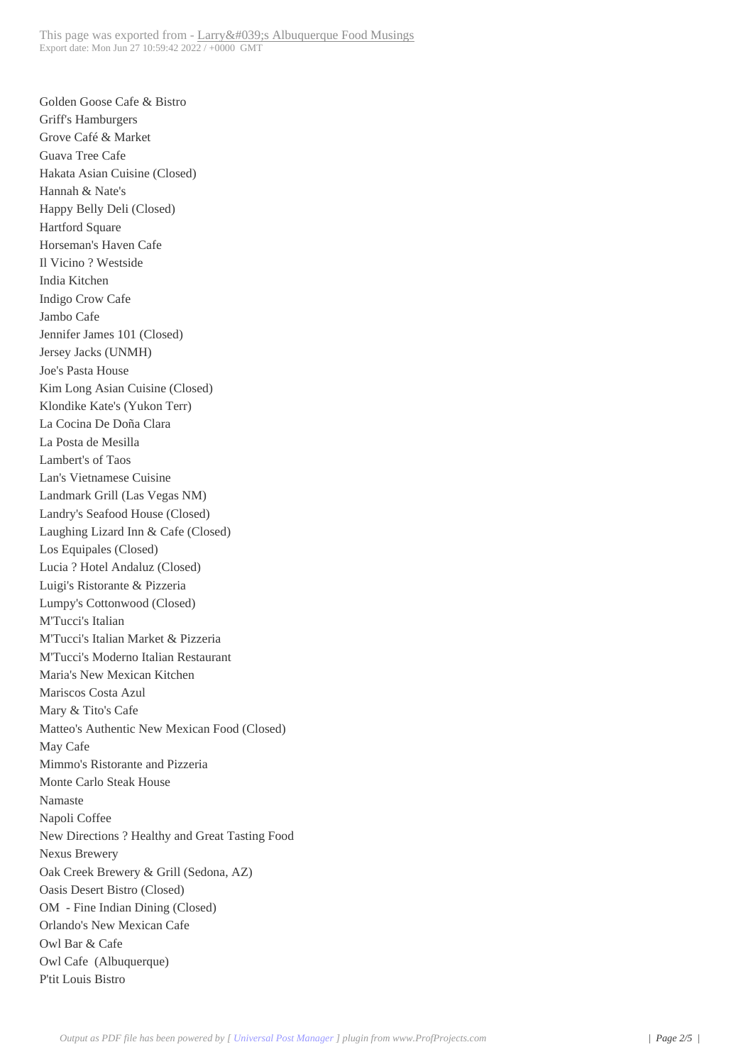Golden Goose Cafe & Bistro Griff's Hamburgers Grove Café & Market Guava Tree Cafe Hakata Asian Cuisine (Closed) Hannah & Nate's Happy Belly Deli (Closed) Hartford Square Horseman's Haven Cafe Il Vicino ? Westside India Kitchen Indigo Crow Cafe Jambo Cafe Jennifer James 101 (Closed) Jersey Jacks (UNMH) Joe's Pasta House Kim Long Asian Cuisine (Closed) Klondike Kate's (Yukon Terr) La Cocina De Doña Clara La Posta de Mesilla Lambert's of Taos Lan's Vietnamese Cuisine Landmark Grill (Las Vegas NM) Landry's Seafood House (Closed) Laughing Lizard Inn & Cafe (Closed) Los Equipales (Closed) Lucia ? Hotel Andaluz (Closed) Luigi's Ristorante & Pizzeria Lumpy's Cottonwood (Closed) M'Tucci's Italian M'Tucci's Italian Market & Pizzeria M'Tucci's Moderno Italian Restaurant Maria's New Mexican Kitchen Mariscos Costa Azul Mary & Tito's Cafe Matteo's Authentic New Mexican Food (Closed) May Cafe Mimmo's Ristorante and Pizzeria Monte Carlo Steak House Namaste Napoli Coffee New Directions ? Healthy and Great Tasting Food Nexus Brewery Oak Creek Brewery & Grill (Sedona, AZ) Oasis Desert Bistro (Closed) OM - Fine Indian Dining (Closed) Orlando's New Mexican Cafe Owl Bar & Cafe Owl Cafe (Albuquerque) P'tit Louis Bistro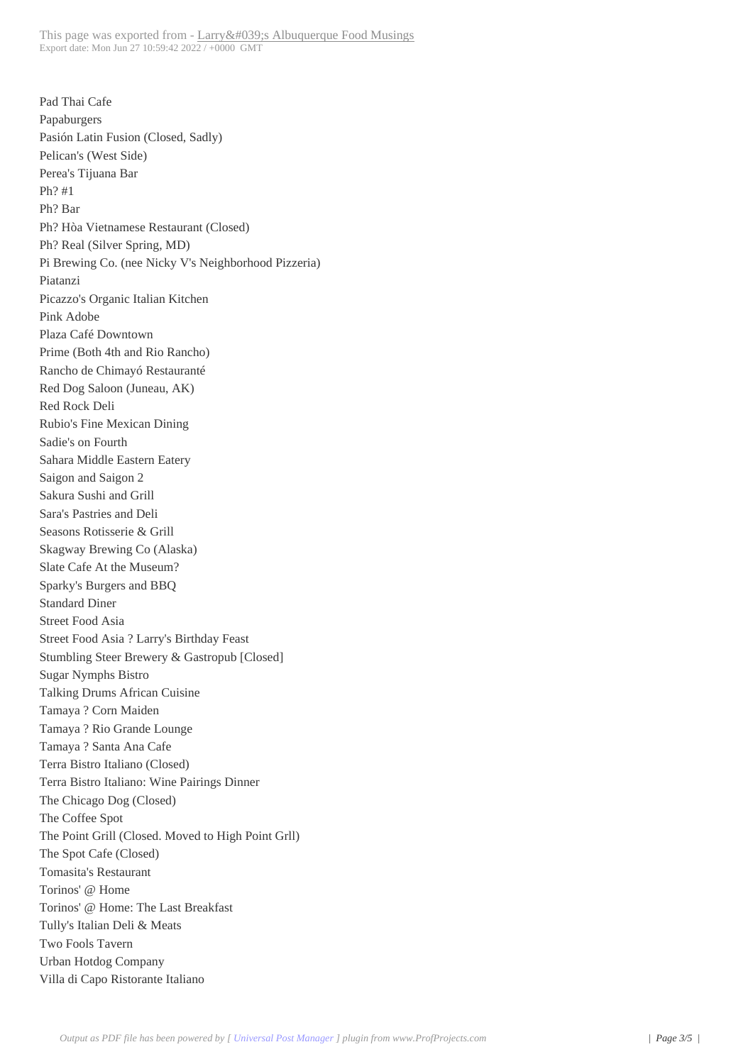Pad Thai Cafe Papaburgers Pasión Latin Fusion (Closed, Sadly) Pelican's (West Side) Perea's Tijuana Bar Ph? #1 Ph? Bar Ph? Hòa Vietnamese Restaurant (Closed) Ph? Real (Silver Spring, MD) Pi Brewing Co. (nee Nicky V's Neighborhood Pizzeria) Piatanzi Picazzo's Organic Italian Kitchen Pink Adobe Plaza Café Downtown Prime (Both 4th and Rio Rancho) Rancho de Chimayó Restauranté Red Dog Saloon (Juneau, AK) Red Rock Deli Rubio's Fine Mexican Dining Sadie's on Fourth Sahara Middle Eastern Eatery Saigon and Saigon 2 Sakura Sushi and Grill Sara's Pastries and Deli Seasons Rotisserie & Grill Skagway Brewing Co (Alaska) Slate Cafe At the Museum? Sparky's Burgers and BBQ Standard Diner Street Food Asia Street Food Asia ? Larry's Birthday Feast Stumbling Steer Brewery & Gastropub [Closed] Sugar Nymphs Bistro Talking Drums African Cuisine Tamaya ? Corn Maiden Tamaya ? Rio Grande Lounge Tamaya ? Santa Ana Cafe Terra Bistro Italiano (Closed) Terra Bistro Italiano: Wine Pairings Dinner The Chicago Dog (Closed) The Coffee Spot The Point Grill (Closed. Moved to High Point Grll) The Spot Cafe (Closed) Tomasita's Restaurant Torinos' @ Home Torinos' @ Home: The Last Breakfast Tully's Italian Deli & Meats Two Fools Tavern Urban Hotdog Company Villa di Capo Ristorante Italiano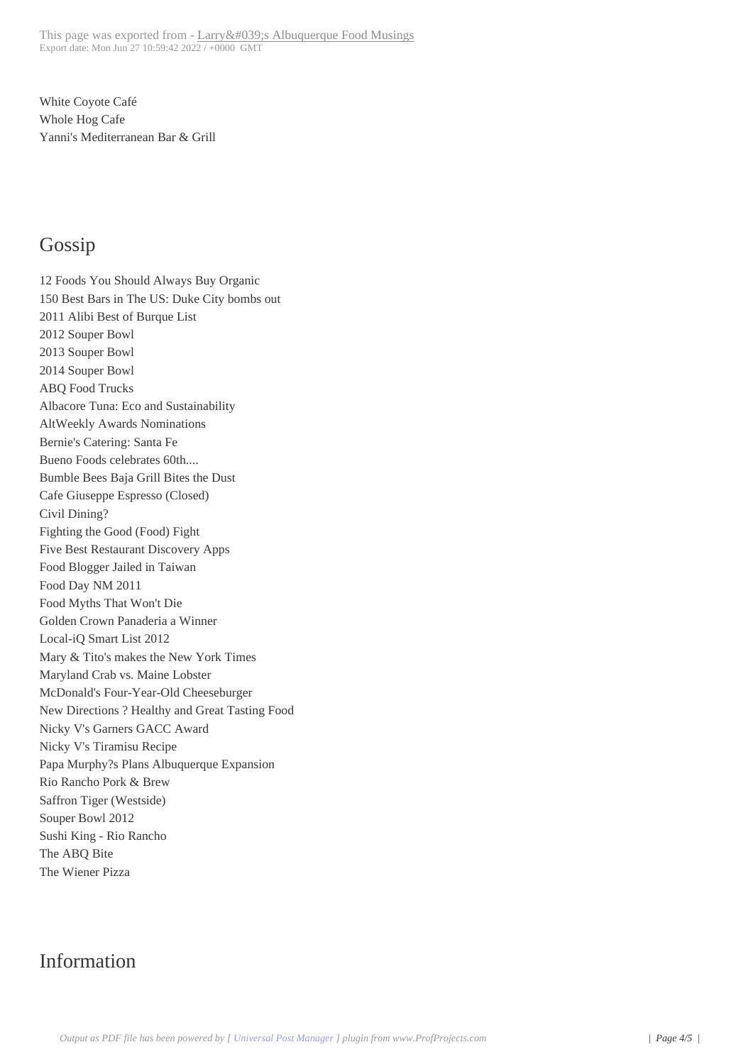White Coyote Café Whole Hog Cafe Yanni's Mediterranean Bar & Grill

#### Gossip

12 Foods You Should Always Buy Organic 150 Best Bars in The US: Duke City bombs out 2011 Alibi Best of Burque List 2012 Souper Bowl 2013 Souper Bowl 2014 Souper Bowl ABQ Food Trucks Albacore Tuna: Eco and Sustainability AltWeekly Awards Nominations Bernie's Catering: Santa Fe Bueno Foods celebrates 60th.... Bumble Bees Baja Grill Bites the Dust Cafe Giuseppe Espresso (Closed) Civil Dining? Fighting the Good (Food) Fight Five Best Restaurant Discovery Apps Food Blogger Jailed in Taiwan Food Day NM 2011 Food Myths That Won't Die Golden Crown Panaderia a Winner Local-iQ Smart List 2012 Mary & Tito's makes the New York Times Maryland Crab vs. Maine Lobster McDonald's Four-Year-Old Cheeseburger New Directions ? Healthy and Great Tasting Food Nicky V's Garners GACC Award Nicky V's Tiramisu Recipe Papa Murphy?s Plans Albuquerque Expansion Rio Rancho Pork & Brew Saffron Tiger (Westside) Souper Bowl 2012 Sushi King - Rio Rancho The ABQ Bite The Wiener Pizza

## Information